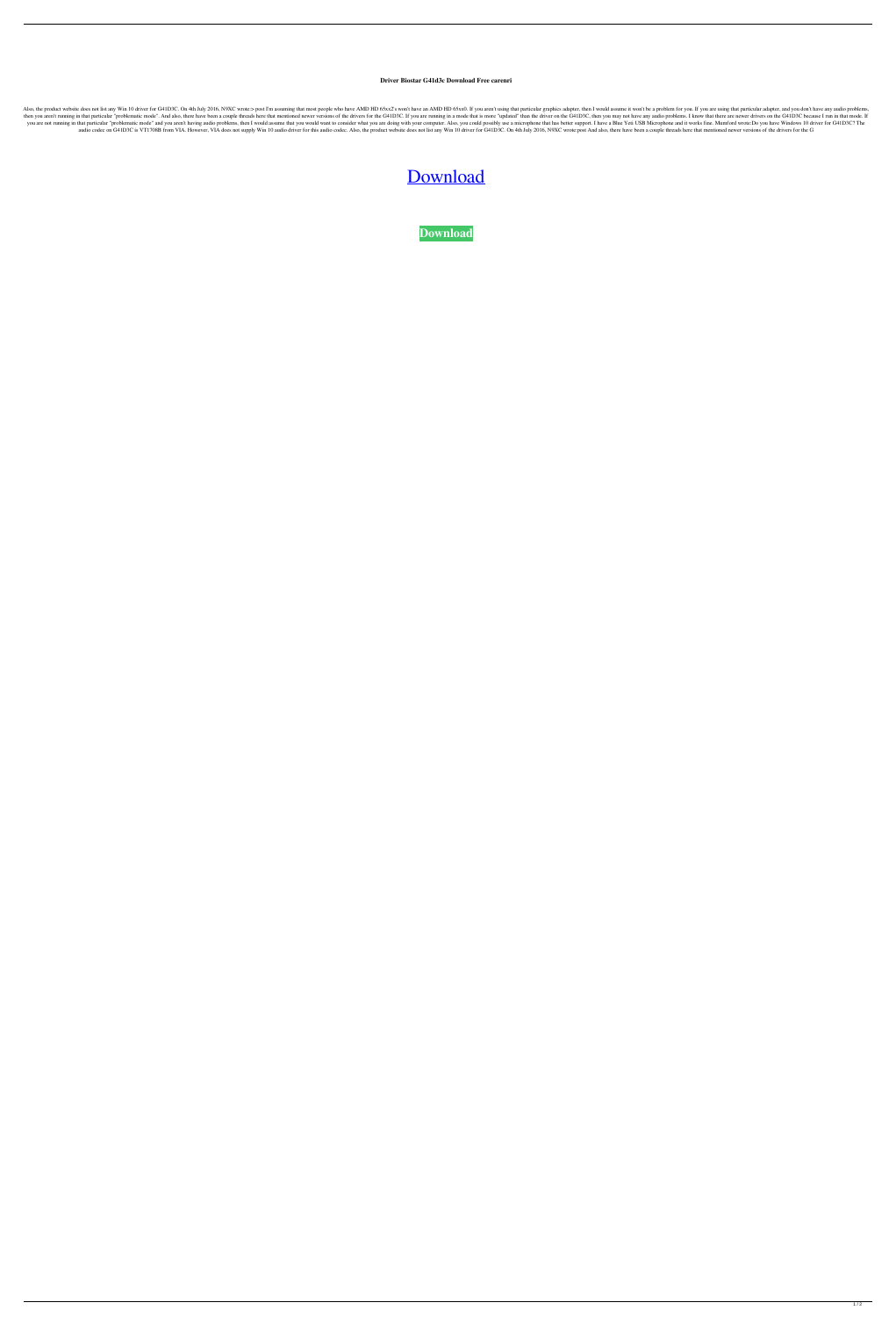## **Driver Biostar G41d3c Download Free carenri**

Also, the product website does not list any Win 10 driver for G41D3C. On 4th July 2016, N9XC wrote:> post I'm assuming that most people who have AMD HD 65xx2's won't have an AMD HD 65xx0. If you aren't using that particula In that particular "problematic mode". And also, there have been a couple threads here that mentioned newer versions of the drivers for the G41D3C, then you may not have any audio problems. I know that there are newer driv ouspare not running in that particular "problematic mode" and you aren't having audio problems, then I would assume that you would want to consider what you are doing with your computer. Also, you could possibly use a micr audio codec on G41D3C is VT1708B from VIA. However, VIA does not supply Win 10 audio driver for this audio codec. Also, the product website does not list any Win 10 driver for G41D3C. On 4th July 2016, N9XC wrote:post And

## [Download](http://evacdir.com/theatrical.hopatcong/ZG93bmxvYWR8TGQ3WW1ScWZId3hOalV5TkRZek1EVXdmSHd5TlRjMGZId29UU2tnY21WaFpDMWliRzluSUZ0R1lYTjBJRWRGVGww/jerramy&noite?RHJpdmVyIEJpb3N0YXIgRzQxZDNjIERvd25sb2FkIEZyZWURHJ)

**[Download](http://evacdir.com/theatrical.hopatcong/ZG93bmxvYWR8TGQ3WW1ScWZId3hOalV5TkRZek1EVXdmSHd5TlRjMGZId29UU2tnY21WaFpDMWliRzluSUZ0R1lYTjBJRWRGVGww/jerramy&noite?RHJpdmVyIEJpb3N0YXIgRzQxZDNjIERvd25sb2FkIEZyZWURHJ)**